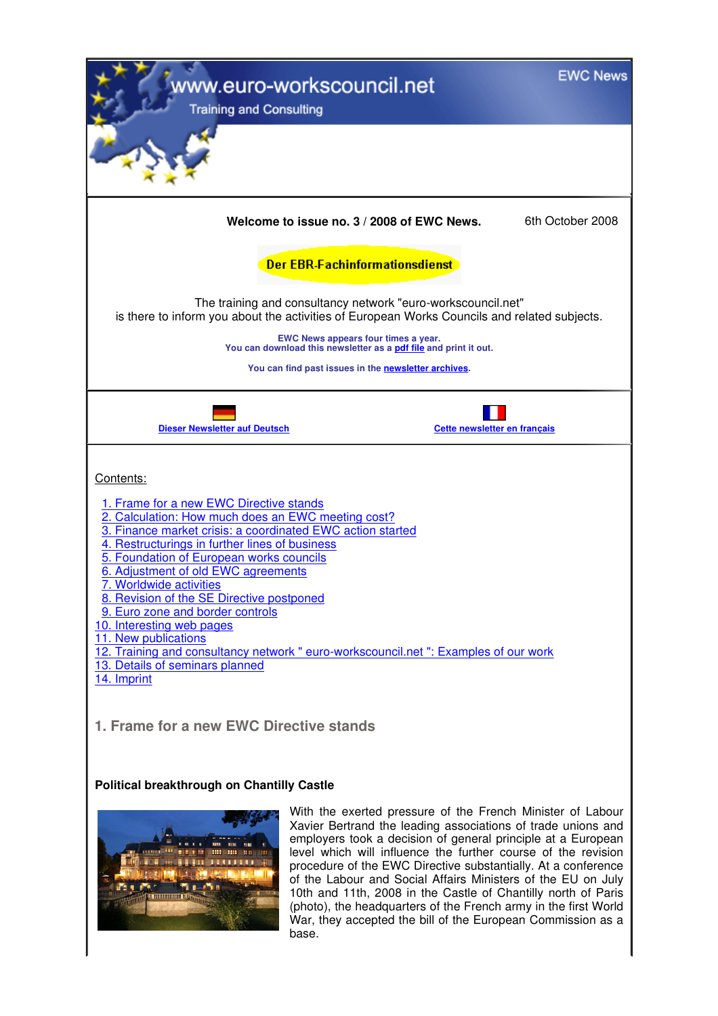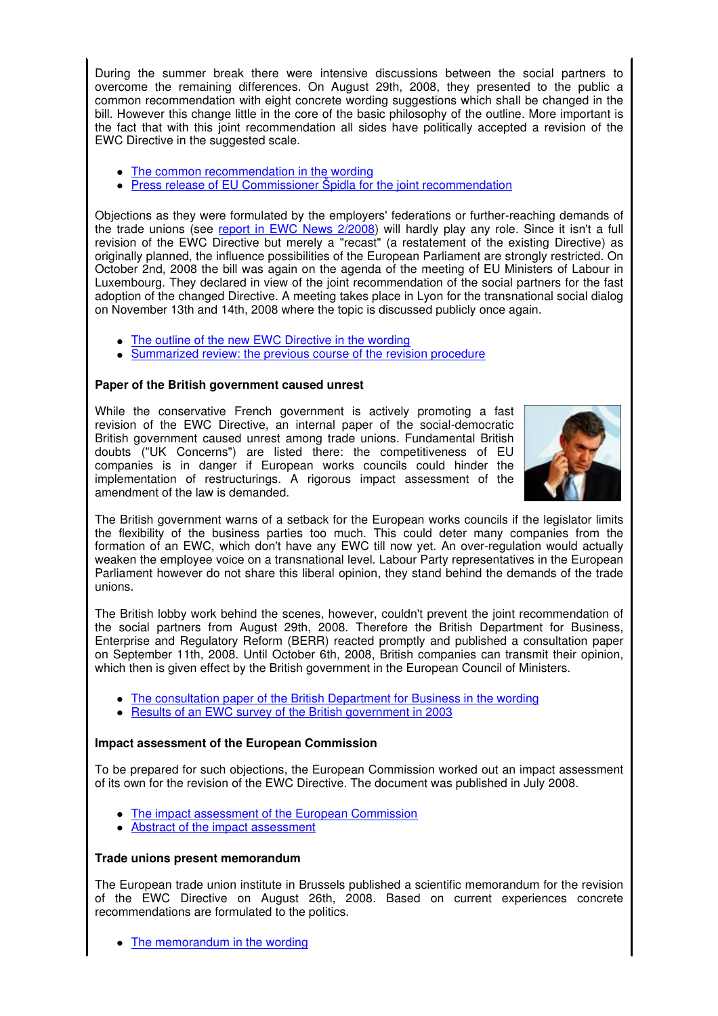During the summer break there were intensive discussions between the social partners to overcome the remaining differences. On August 29th, 2008, they presented to the public a common recommendation with eight concrete wording suggestions which shall be changed in the bill. However this change little in the core of the basic philosophy of the outline. More important is the fact that with this joint recommendation all sides have politically accepted a revision of the EWC Directive in the suggested scale.

- The common recommendation in the wording
- Press release of EU Commissioner Špidla for the joint recommendation

Objections as they were formulated by the employers' federations or further-reaching demands of the trade unions (see report in EWC News 2/2008) will hardly play any role. Since it isn't a full revision of the EWC Directive but merely a "recast" (a restatement of the existing Directive) as originally planned, the influence possibilities of the European Parliament are strongly restricted. On October 2nd, 2008 the bill was again on the agenda of the meeting of EU Ministers of Labour in Luxembourg. They declared in view of the joint recommendation of the social partners for the fast adoption of the changed Directive. A meeting takes place in Lyon for the transnational social dialog on November 13th and 14th, 2008 where the topic is discussed publicly once again.

- The outline of the new EWC Directive in the wording
- Summarized review: the previous course of the revision procedure

## **Paper of the British government caused unrest**

While the conservative French government is actively promoting a fast revision of the EWC Directive, an internal paper of the social-democratic British government caused unrest among trade unions. Fundamental British doubts ("UK Concerns") are listed there: the competitiveness of EU companies is in danger if European works councils could hinder the implementation of restructurings. A rigorous impact assessment of the amendment of the law is demanded.



The British government warns of a setback for the European works councils if the legislator limits the flexibility of the business parties too much. This could deter many companies from the formation of an EWC, which don't have any EWC till now yet. An over-regulation would actually weaken the employee voice on a transnational level. Labour Party representatives in the European Parliament however do not share this liberal opinion, they stand behind the demands of the trade unions.

The British lobby work behind the scenes, however, couldn't prevent the joint recommendation of the social partners from August 29th, 2008. Therefore the British Department for Business, Enterprise and Regulatory Reform (BERR) reacted promptly and published a consultation paper on September 11th, 2008. Until October 6th, 2008, British companies can transmit their opinion, which then is given effect by the British government in the European Council of Ministers.

- The consultation paper of the British Department for Business in the wording
- Results of an EWC survey of the British government in 2003

### **Impact assessment of the European Commission**

To be prepared for such objections, the European Commission worked out an impact assessment of its own for the revision of the EWC Directive. The document was published in July 2008.

- The impact assessment of the European Commission
- Abstract of the impact assessment

### **Trade unions present memorandum**

The European trade union institute in Brussels published a scientific memorandum for the revision of the EWC Directive on August 26th, 2008. Based on current experiences concrete recommendations are formulated to the politics.

• The memorandum in the wording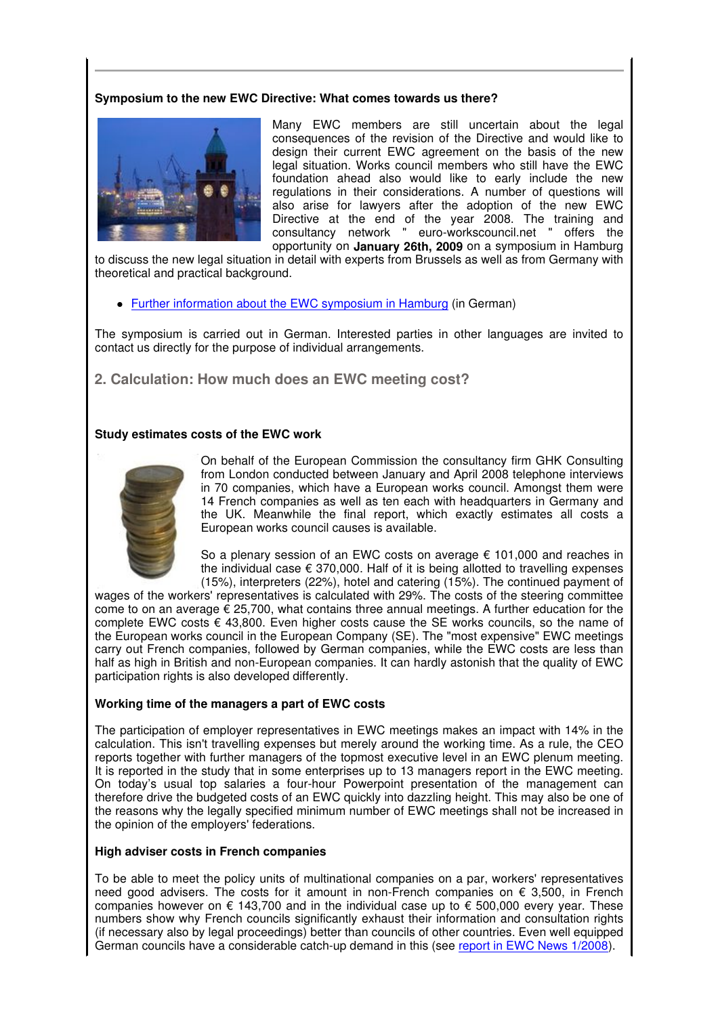## **Symposium to the new EWC Directive: What comes towards us there?**



Many EWC members are still uncertain about the legal consequences of the revision of the Directive and would like to design their current EWC agreement on the basis of the new legal situation. Works council members who still have the EWC foundation ahead also would like to early include the new regulations in their considerations. A number of questions will also arise for lawyers after the adoption of the new EWC Directive at the end of the year 2008. The training and consultancy network " euro-workscouncil.net " offers the opportunity on **January 26th, 2009** on a symposium in Hamburg

to discuss the new legal situation in detail with experts from Brussels as well as from Germany with theoretical and practical background.

• Further information about the EWC symposium in Hamburg (in German)

The symposium is carried out in German. Interested parties in other languages are invited to contact us directly for the purpose of individual arrangements.

**2. Calculation: How much does an EWC meeting cost?**

#### **Study estimates costs of the EWC work**



On behalf of the European Commission the consultancy firm GHK Consulting from London conducted between January and April 2008 telephone interviews in 70 companies, which have a European works council. Amongst them were 14 French companies as well as ten each with headquarters in Germany and the UK. Meanwhile the final report, which exactly estimates all costs a European works council causes is available.

So a plenary session of an EWC costs on average € 101,000 and reaches in the individual case  $\epsilon$  370,000. Half of it is being allotted to travelling expenses (15%), interpreters (22%), hotel and catering (15%). The continued payment of

wages of the workers' representatives is calculated with 29%. The costs of the steering committee come to on an average  $\epsilon$  25,700, what contains three annual meetings. A further education for the complete EWC costs  $\epsilon$  43,800. Even higher costs cause the SE works councils, so the name of the European works council in the European Company (SE). The "most expensive" EWC meetings carry out French companies, followed by German companies, while the EWC costs are less than half as high in British and non-European companies. It can hardly astonish that the quality of EWC participation rights is also developed differently.

### **Working time of the managers a part of EWC costs**

The participation of employer representatives in EWC meetings makes an impact with 14% in the calculation. This isn't travelling expenses but merely around the working time. As a rule, the CEO reports together with further managers of the topmost executive level in an EWC plenum meeting. It is reported in the study that in some enterprises up to 13 managers report in the EWC meeting. On today's usual top salaries a four-hour Powerpoint presentation of the management can therefore drive the budgeted costs of an EWC quickly into dazzling height. This may also be one of the reasons why the legally specified minimum number of EWC meetings shall not be increased in the opinion of the employers' federations.

# **High adviser costs in French companies**

To be able to meet the policy units of multinational companies on a par, workers' representatives need good advisers. The costs for it amount in non-French companies on € 3,500, in French companies however on  $\epsilon$  143,700 and in the individual case up to  $\epsilon$  500,000 every year. These numbers show why French councils significantly exhaust their information and consultation rights (if necessary also by legal proceedings) better than councils of other countries. Even well equipped German councils have a considerable catch-up demand in this (see report in EWC News 1/2008).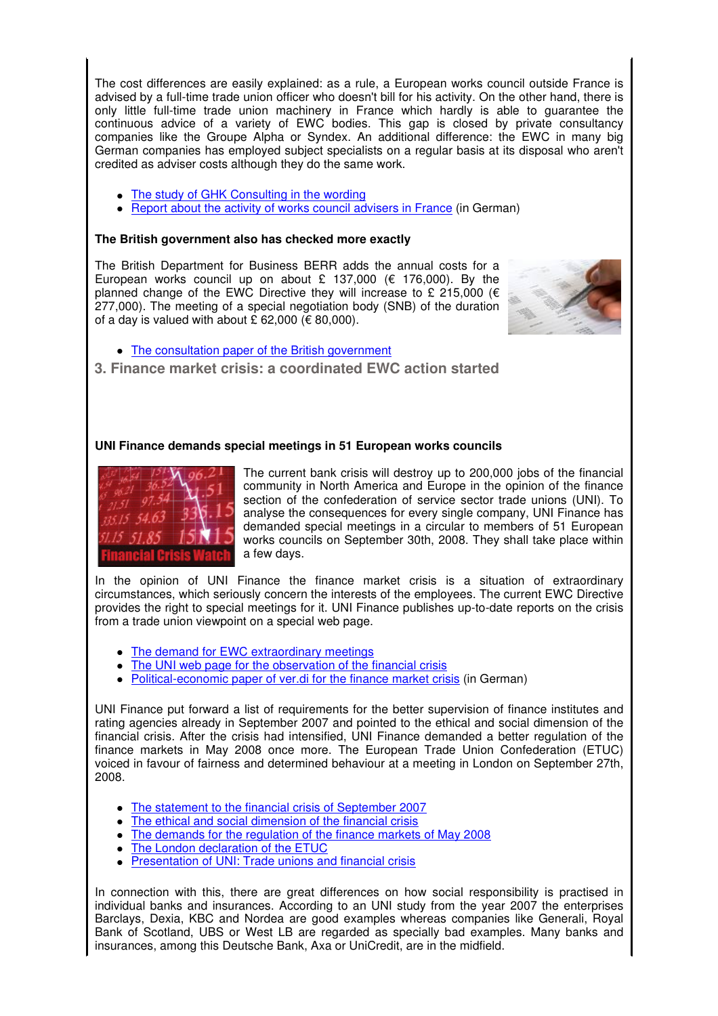The cost differences are easily explained: as a rule, a European works council outside France is advised by a full-time trade union officer who doesn't bill for his activity. On the other hand, there is only little full-time trade union machinery in France which hardly is able to guarantee the continuous advice of a variety of EWC bodies. This gap is closed by private consultancy companies like the Groupe Alpha or Syndex. An additional difference: the EWC in many big German companies has employed subject specialists on a regular basis at its disposal who aren't credited as adviser costs although they do the same work.

- The study of GHK Consulting in the wording
- Report about the activity of works council advisers in France (in German)

# **The British government also has checked more exactly**

The British Department for Business BERR adds the annual costs for a European works council up on about £ 137,000 (€ 176,000). By the planned change of the EWC Directive they will increase to £ 215,000 ( $\epsilon$ 277,000). The meeting of a special negotiation body (SNB) of the duration of a day is valued with about £ 62,000 ( $\epsilon$  80,000).



• The consultation paper of the British government

 **3. Finance market crisis: a coordinated EWC action started**

## **UNI Finance demands special meetings in 51 European works councils**



The current bank crisis will destroy up to 200,000 jobs of the financial community in North America and Europe in the opinion of the finance section of the confederation of service sector trade unions (UNI). To analyse the consequences for every single company, UNI Finance has demanded special meetings in a circular to members of 51 European works councils on September 30th, 2008. They shall take place within a few days.

In the opinion of UNI Finance the finance market crisis is a situation of extraordinary circumstances, which seriously concern the interests of the employees. The current EWC Directive provides the right to special meetings for it. UNI Finance publishes up-to-date reports on the crisis from a trade union viewpoint on a special web page.

- The demand for EWC extraordinary meetings
- The UNI web page for the observation of the financial crisis
- Political-economic paper of ver.di for the finance market crisis (in German)

UNI Finance put forward a list of requirements for the better supervision of finance institutes and rating agencies already in September 2007 and pointed to the ethical and social dimension of the financial crisis. After the crisis had intensified, UNI Finance demanded a better regulation of the finance markets in May 2008 once more. The European Trade Union Confederation (ETUC) voiced in favour of fairness and determined behaviour at a meeting in London on September 27th, 2008.

- The statement to the financial crisis of September 2007
- The ethical and social dimension of the financial crisis
- The demands for the regulation of the finance markets of May 2008
- The London declaration of the ETUC
- **Presentation of UNI: Trade unions and financial crisis**

In connection with this, there are great differences on how social responsibility is practised in individual banks and insurances. According to an UNI study from the year 2007 the enterprises Barclays, Dexia, KBC and Nordea are good examples whereas companies like Generali, Royal Bank of Scotland, UBS or West LB are regarded as specially bad examples. Many banks and insurances, among this Deutsche Bank, Axa or UniCredit, are in the midfield.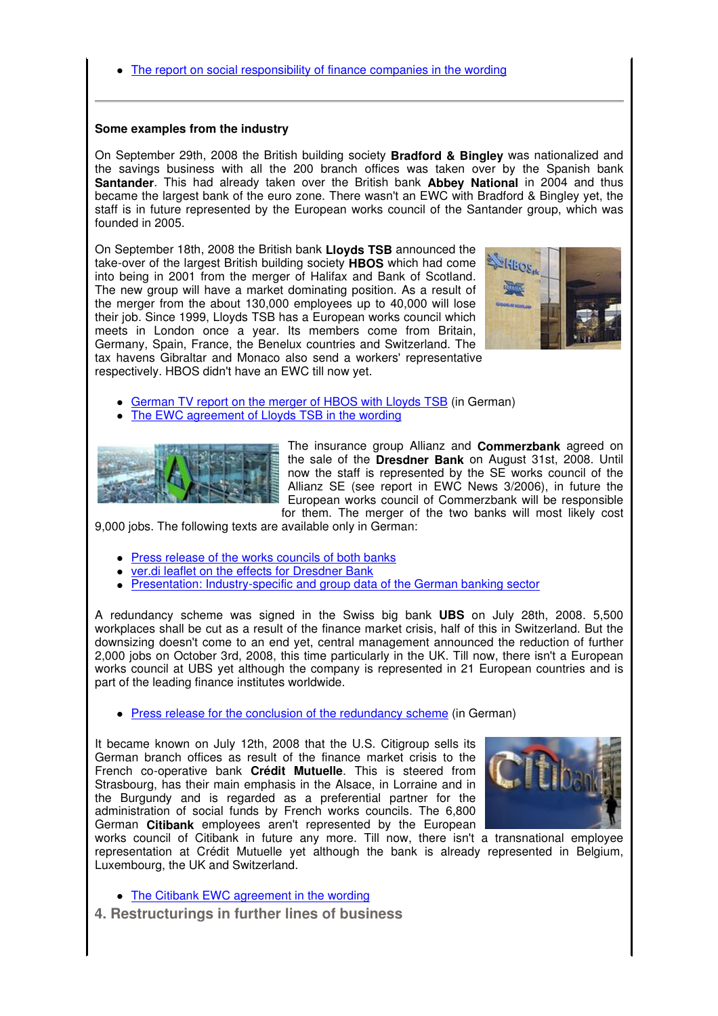• The report on social responsibility of finance companies in the wording

## **Some examples from the industry**

On September 29th, 2008 the British building society **Bradford & Bingley** was nationalized and the savings business with all the 200 branch offices was taken over by the Spanish bank **Santander**. This had already taken over the British bank **Abbey National** in 2004 and thus became the largest bank of the euro zone. There wasn't an EWC with Bradford & Bingley yet, the staff is in future represented by the European works council of the Santander group, which was founded in 2005.

On September 18th, 2008 the British bank **Lloyds TSB** announced the take-over of the largest British building society **HBOS** which had come into being in 2001 from the merger of Halifax and Bank of Scotland. The new group will have a market dominating position. As a result of the merger from the about 130,000 employees up to 40,000 will lose their job. Since 1999, Lloyds TSB has a European works council which meets in London once a year. Its members come from Britain, Germany, Spain, France, the Benelux countries and Switzerland. The tax havens Gibraltar and Monaco also send a workers' representative respectively. HBOS didn't have an EWC till now yet.



- German TV report on the merger of HBOS with Lloyds TSB (in German)
- The EWC agreement of Lloyds TSB in the wording



The insurance group Allianz and **Commerzbank** agreed on the sale of the **Dresdner Bank** on August 31st, 2008. Until now the staff is represented by the SE works council of the Allianz SE (see report in EWC News 3/2006), in future the European works council of Commerzbank will be responsible for them. The merger of the two banks will most likely cost

9,000 jobs. The following texts are available only in German:

- Press release of the works councils of both banks
- ver.di leaflet on the effects for Dresdner Bank
- Presentation: Industry-specific and group data of the German banking sector

A redundancy scheme was signed in the Swiss big bank **UBS** on July 28th, 2008. 5,500 workplaces shall be cut as a result of the finance market crisis, half of this in Switzerland. But the downsizing doesn't come to an end yet, central management announced the reduction of further 2,000 jobs on October 3rd, 2008, this time particularly in the UK. Till now, there isn't a European works council at UBS yet although the company is represented in 21 European countries and is part of the leading finance institutes worldwide.

• Press release for the conclusion of the redundancy scheme (in German)

It became known on July 12th, 2008 that the U.S. Citigroup sells its German branch offices as result of the finance market crisis to the French co-operative bank **Crédit Mutuelle**. This is steered from Strasbourg, has their main emphasis in the Alsace, in Lorraine and in the Burgundy and is regarded as a preferential partner for the administration of social funds by French works councils. The 6,800 German **Citibank** employees aren't represented by the European



works council of Citibank in future any more. Till now, there isn't a transnational employee representation at Crédit Mutuelle yet although the bank is already represented in Belgium, Luxembourg, the UK and Switzerland.

- The Citibank EWC agreement in the wording
- **4. Restructurings in further lines of business**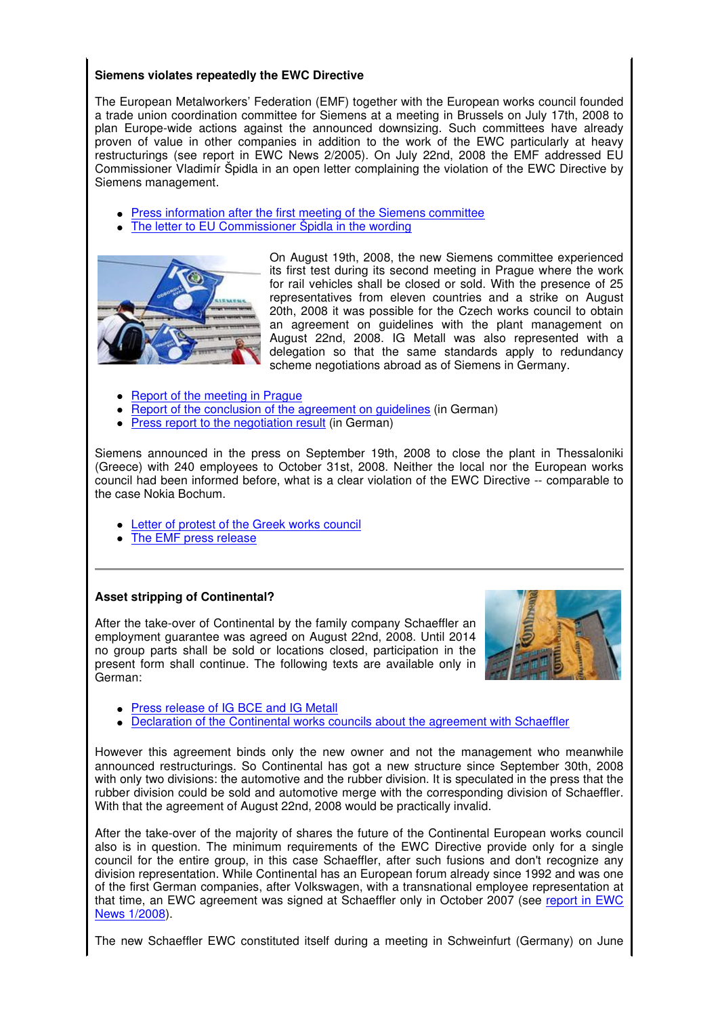# **Siemens violates repeatedly the EWC Directive**

The European Metalworkers' Federation (EMF) together with the European works council founded a trade union coordination committee for Siemens at a meeting in Brussels on July 17th, 2008 to plan Europe-wide actions against the announced downsizing. Such committees have already proven of value in other companies in addition to the work of the EWC particularly at heavy restructurings (see report in EWC News 2/2005). On July 22nd, 2008 the EMF addressed EU Commissioner Vladimír Špidla in an open letter complaining the violation of the EWC Directive by Siemens management.

- Press information after the first meeting of the Siemens committee
- The letter to EU Commissioner Špidla in the wording



On August 19th, 2008, the new Siemens committee experienced its first test during its second meeting in Prague where the work for rail vehicles shall be closed or sold. With the presence of 25 representatives from eleven countries and a strike on August 20th, 2008 it was possible for the Czech works council to obtain an agreement on guidelines with the plant management on August 22nd, 2008. IG Metall was also represented with a delegation so that the same standards apply to redundancy scheme negotiations abroad as of Siemens in Germany.

- Report of the meeting in Prague
- Report of the conclusion of the agreement on guidelines (in German)
- Press report to the negotiation result (in German)

Siemens announced in the press on September 19th, 2008 to close the plant in Thessaloniki (Greece) with 240 employees to October 31st, 2008. Neither the local nor the European works council had been informed before, what is a clear violation of the EWC Directive -- comparable to the case Nokia Bochum.

- Letter of protest of the Greek works council
- The EMF press release

# **Asset stripping of Continental?**

After the take-over of Continental by the family company Schaeffler an employment guarantee was agreed on August 22nd, 2008. Until 2014 no group parts shall be sold or locations closed, participation in the present form shall continue. The following texts are available only in German:



- Press release of IG BCE and IG Metall
- Declaration of the Continental works councils about the agreement with Schaeffler

However this agreement binds only the new owner and not the management who meanwhile announced restructurings. So Continental has got a new structure since September 30th, 2008 with only two divisions: the automotive and the rubber division. It is speculated in the press that the rubber division could be sold and automotive merge with the corresponding division of Schaeffler. With that the agreement of August 22nd, 2008 would be practically invalid.

After the take-over of the majority of shares the future of the Continental European works council also is in question. The minimum requirements of the EWC Directive provide only for a single council for the entire group, in this case Schaeffler, after such fusions and don't recognize any division representation. While Continental has an European forum already since 1992 and was one of the first German companies, after Volkswagen, with a transnational employee representation at that time, an EWC agreement was signed at Schaeffler only in October 2007 (see report in EWC News 1/2008).

The new Schaeffler EWC constituted itself during a meeting in Schweinfurt (Germany) on June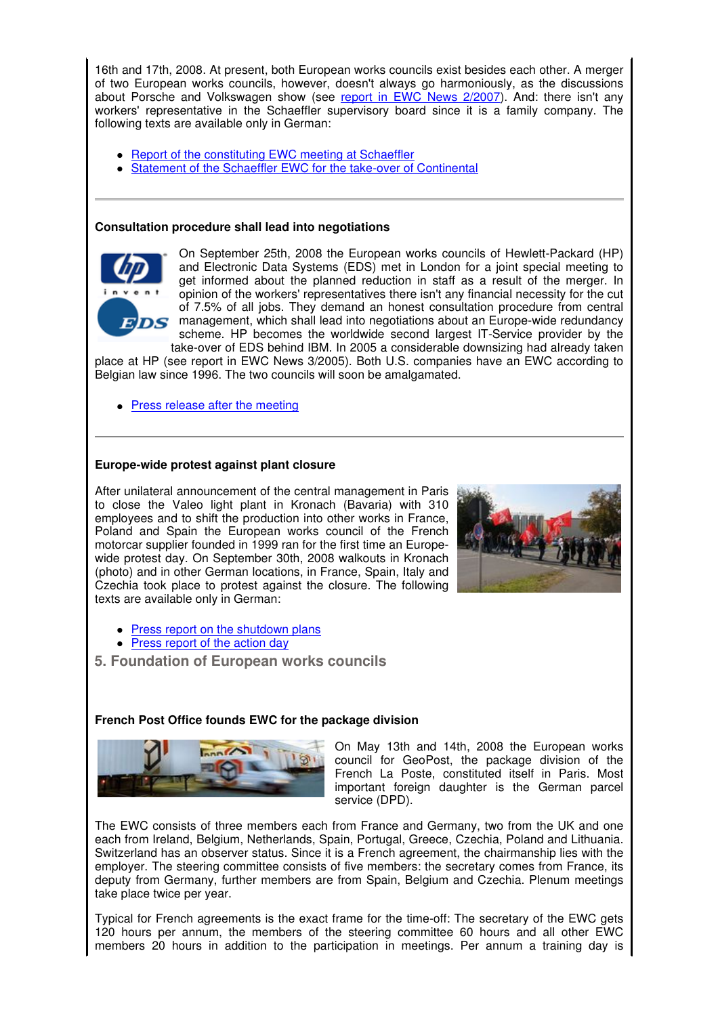16th and 17th, 2008. At present, both European works councils exist besides each other. A merger of two European works councils, however, doesn't always go harmoniously, as the discussions about Porsche and Volkswagen show (see report in EWC News 2/2007). And: there isn't any workers' representative in the Schaeffler supervisory board since it is a family company. The following texts are available only in German:

- Report of the constituting EWC meeting at Schaeffler
- Statement of the Schaeffler EWC for the take-over of Continental

## **Consultation procedure shall lead into negotiations**



On September 25th, 2008 the European works councils of Hewlett-Packard (HP) and Electronic Data Systems (EDS) met in London for a joint special meeting to get informed about the planned reduction in staff as a result of the merger. In opinion of the workers' representatives there isn't any financial necessity for the cut of 7.5% of all jobs. They demand an honest consultation procedure from central **D.S** management, which shall lead into negotiations about an Europe-wide redundancy scheme. HP becomes the worldwide second largest IT-Service provider by the

take-over of EDS behind IBM. In 2005 a considerable downsizing had already taken place at HP (see report in EWC News 3/2005). Both U.S. companies have an EWC according to Belgian law since 1996. The two councils will soon be amalgamated.

• Press release after the meeting

### **Europe-wide protest against plant closure**

After unilateral announcement of the central management in Paris to close the Valeo light plant in Kronach (Bavaria) with 310 employees and to shift the production into other works in France, Poland and Spain the European works council of the French motorcar supplier founded in 1999 ran for the first time an Europewide protest day. On September 30th, 2008 walkouts in Kronach (photo) and in other German locations, in France, Spain, Italy and Czechia took place to protest against the closure. The following texts are available only in German:



- Press report on the shutdown plans
- Press report of the action day

 **5. Foundation of European works councils**

### **French Post Office founds EWC for the package division**



On May 13th and 14th, 2008 the European works council for GeoPost, the package division of the French La Poste, constituted itself in Paris. Most important foreign daughter is the German parcel service (DPD).

The EWC consists of three members each from France and Germany, two from the UK and one each from Ireland, Belgium, Netherlands, Spain, Portugal, Greece, Czechia, Poland and Lithuania. Switzerland has an observer status. Since it is a French agreement, the chairmanship lies with the employer. The steering committee consists of five members: the secretary comes from France, its deputy from Germany, further members are from Spain, Belgium and Czechia. Plenum meetings take place twice per year.

Typical for French agreements is the exact frame for the time-off: The secretary of the EWC gets 120 hours per annum, the members of the steering committee 60 hours and all other EWC members 20 hours in addition to the participation in meetings. Per annum a training day is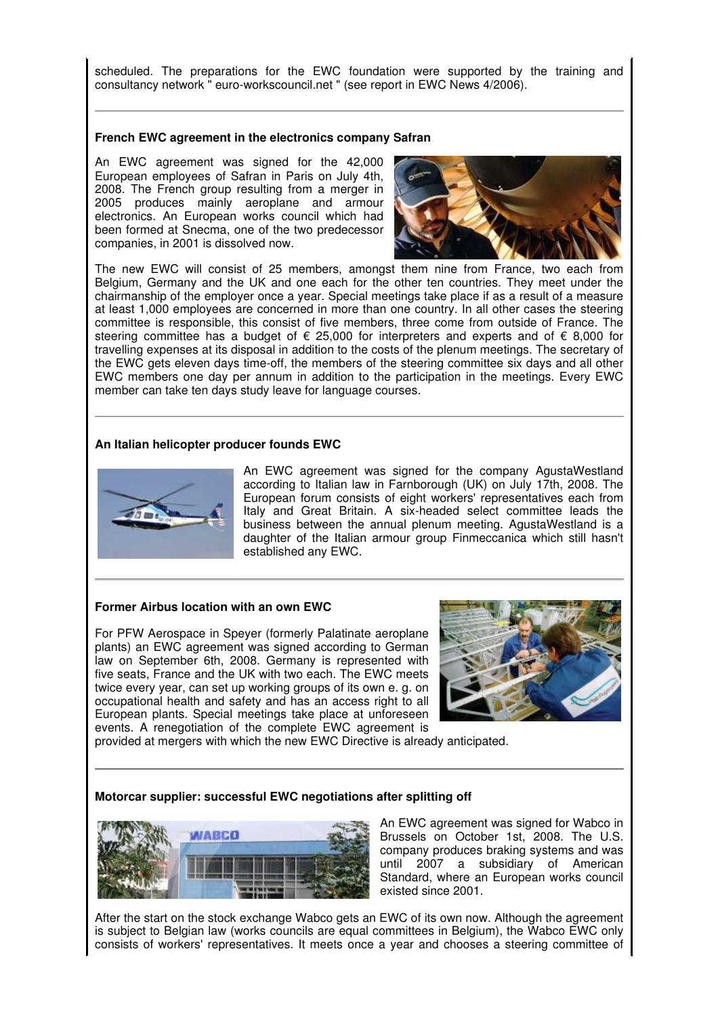scheduled. The preparations for the EWC foundation were supported by the training and consultancy network " euro-workscouncil.net " (see report in EWC News 4/2006).

#### **French EWC agreement in the electronics company Safran**

An EWC agreement was signed for the 42,000 European employees of Safran in Paris on July 4th, 2008. The French group resulting from a merger in 2005 produces mainly aeroplane and armour electronics. An European works council which had been formed at Snecma, one of the two predecessor companies, in 2001 is dissolved now.



The new EWC will consist of 25 members, amongst them nine from France, two each from Belgium, Germany and the UK and one each for the other ten countries. They meet under the chairmanship of the employer once a year. Special meetings take place if as a result of a measure at least 1,000 employees are concerned in more than one country. In all other cases the steering committee is responsible, this consist of five members, three come from outside of France. The steering committee has a budget of € 25,000 for interpreters and experts and of € 8,000 for travelling expenses at its disposal in addition to the costs of the plenum meetings. The secretary of the EWC gets eleven days time-off, the members of the steering committee six days and all other EWC members one day per annum in addition to the participation in the meetings. Every EWC member can take ten days study leave for language courses.

#### **An Italian helicopter producer founds EWC**



An EWC agreement was signed for the company AgustaWestland according to Italian law in Farnborough (UK) on July 17th, 2008. The European forum consists of eight workers' representatives each from Italy and Great Britain. A six-headed select committee leads the business between the annual plenum meeting. AgustaWestland is a daughter of the Italian armour group Finmeccanica which still hasn't established any EWC.

### **Former Airbus location with an own EWC**

For PFW Aerospace in Speyer (formerly Palatinate aeroplane plants) an EWC agreement was signed according to German law on September 6th, 2008. Germany is represented with five seats, France and the UK with two each. The EWC meets twice every year, can set up working groups of its own e. g. on occupational health and safety and has an access right to all European plants. Special meetings take place at unforeseen events. A renegotiation of the complete EWC agreement is



provided at mergers with which the new EWC Directive is already anticipated.

#### **Motorcar supplier: successful EWC negotiations after splitting off**



An EWC agreement was signed for Wabco in Brussels on October 1st, 2008. The U.S. company produces braking systems and was until 2007 a subsidiary of American Standard, where an European works council existed since 2001.

After the start on the stock exchange Wabco gets an EWC of its own now. Although the agreement is subject to Belgian law (works councils are equal committees in Belgium), the Wabco EWC only consists of workers' representatives. It meets once a year and chooses a steering committee of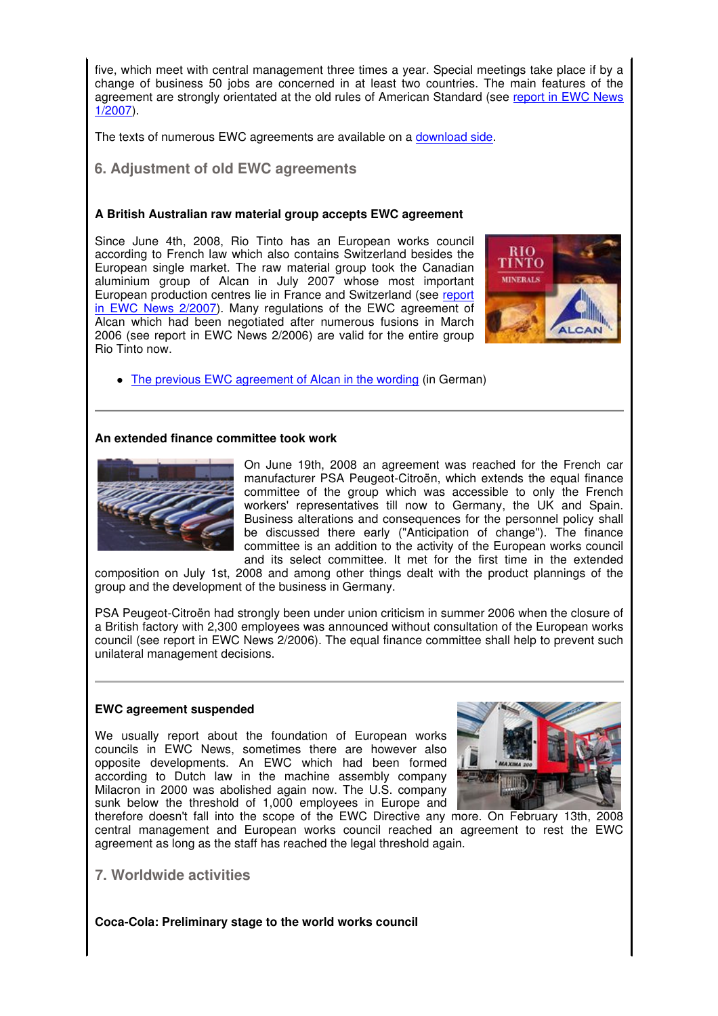five, which meet with central management three times a year. Special meetings take place if by a change of business 50 jobs are concerned in at least two countries. The main features of the agreement are strongly orientated at the old rules of American Standard (see report in EWC News 1/2007).

The texts of numerous EWC agreements are available on a download side.

# **6. Adjustment of old EWC agreements**

## **A British Australian raw material group accepts EWC agreement**

Since June 4th, 2008, Rio Tinto has an European works council according to French law which also contains Switzerland besides the European single market. The raw material group took the Canadian aluminium group of Alcan in July 2007 whose most important European production centres lie in France and Switzerland (see report in EWC News 2/2007). Many regulations of the EWC agreement of Alcan which had been negotiated after numerous fusions in March 2006 (see report in EWC News 2/2006) are valid for the entire group Rio Tinto now.



• The previous EWC agreement of Alcan in the wording (in German)

### **An extended finance committee took work**



On June 19th, 2008 an agreement was reached for the French car manufacturer PSA Peugeot-Citroën, which extends the equal finance committee of the group which was accessible to only the French workers' representatives till now to Germany, the UK and Spain. Business alterations and consequences for the personnel policy shall be discussed there early ("Anticipation of change"). The finance committee is an addition to the activity of the European works council and its select committee. It met for the first time in the extended

composition on July 1st, 2008 and among other things dealt with the product plannings of the group and the development of the business in Germany.

PSA Peugeot-Citroën had strongly been under union criticism in summer 2006 when the closure of a British factory with 2,300 employees was announced without consultation of the European works council (see report in EWC News 2/2006). The equal finance committee shall help to prevent such unilateral management decisions.

#### **EWC agreement suspended**

We usually report about the foundation of European works councils in EWC News, sometimes there are however also opposite developments. An EWC which had been formed according to Dutch law in the machine assembly company Milacron in 2000 was abolished again now. The U.S. company sunk below the threshold of 1,000 employees in Europe and



therefore doesn't fall into the scope of the EWC Directive any more. On February 13th, 2008 central management and European works council reached an agreement to rest the EWC agreement as long as the staff has reached the legal threshold again.

 **7. Worldwide activities**

**Coca-Cola: Preliminary stage to the world works council**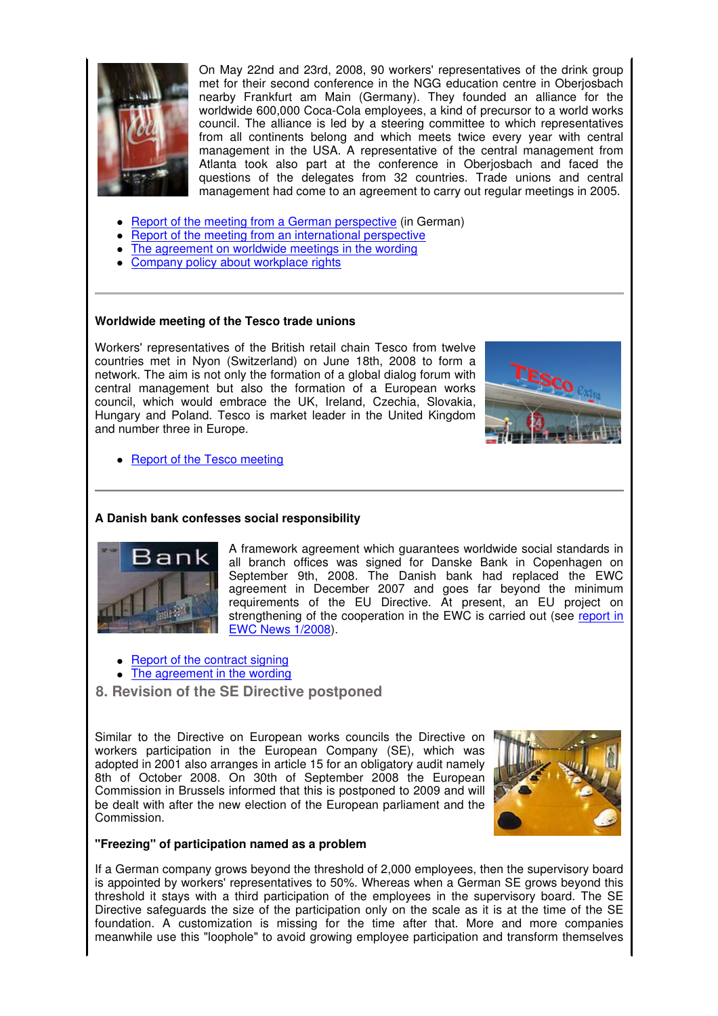

On May 22nd and 23rd, 2008, 90 workers' representatives of the drink group met for their second conference in the NGG education centre in Oberjosbach nearby Frankfurt am Main (Germany). They founded an alliance for the worldwide 600,000 Coca-Cola employees, a kind of precursor to a world works council. The alliance is led by a steering committee to which representatives from all continents belong and which meets twice every year with central management in the USA. A representative of the central management from Atlanta took also part at the conference in Oberjosbach and faced the questions of the delegates from 32 countries. Trade unions and central management had come to an agreement to carry out regular meetings in 2005.

- Report of the meeting from a German perspective (in German)
- Report of the meeting from an international perspective
- The agreement on worldwide meetings in the wording
- Company policy about workplace rights

# **Worldwide meeting of the Tesco trade unions**

Workers' representatives of the British retail chain Tesco from twelve countries met in Nyon (Switzerland) on June 18th, 2008 to form a network. The aim is not only the formation of a global dialog forum with central management but also the formation of a European works council, which would embrace the UK, Ireland, Czechia, Slovakia, Hungary and Poland. Tesco is market leader in the United Kingdom and number three in Europe.



• Report of the Tesco meeting

# **A Danish bank confesses social responsibility**



A framework agreement which guarantees worldwide social standards in all branch offices was signed for Danske Bank in Copenhagen on September 9th, 2008. The Danish bank had replaced the EWC agreement in December 2007 and goes far beyond the minimum requirements of the EU Directive. At present, an EU project on strengthening of the cooperation in the EWC is carried out (see report in EWC News 1/2008).

- Report of the contract signing
- The agreement in the wording

 **8. Revision of the SE Directive postponed**

Similar to the Directive on European works councils the Directive on workers participation in the European Company (SE), which was adopted in 2001 also arranges in article 15 for an obligatory audit namely 8th of October 2008. On 30th of September 2008 the European Commission in Brussels informed that this is postponed to 2009 and will be dealt with after the new election of the European parliament and the Commission.



### **"Freezing" of participation named as a problem**

If a German company grows beyond the threshold of 2,000 employees, then the supervisory board is appointed by workers' representatives to 50%. Whereas when a German SE grows beyond this threshold it stays with a third participation of the employees in the supervisory board. The SE Directive safeguards the size of the participation only on the scale as it is at the time of the SE foundation. A customization is missing for the time after that. More and more companies meanwhile use this "loophole" to avoid growing employee participation and transform themselves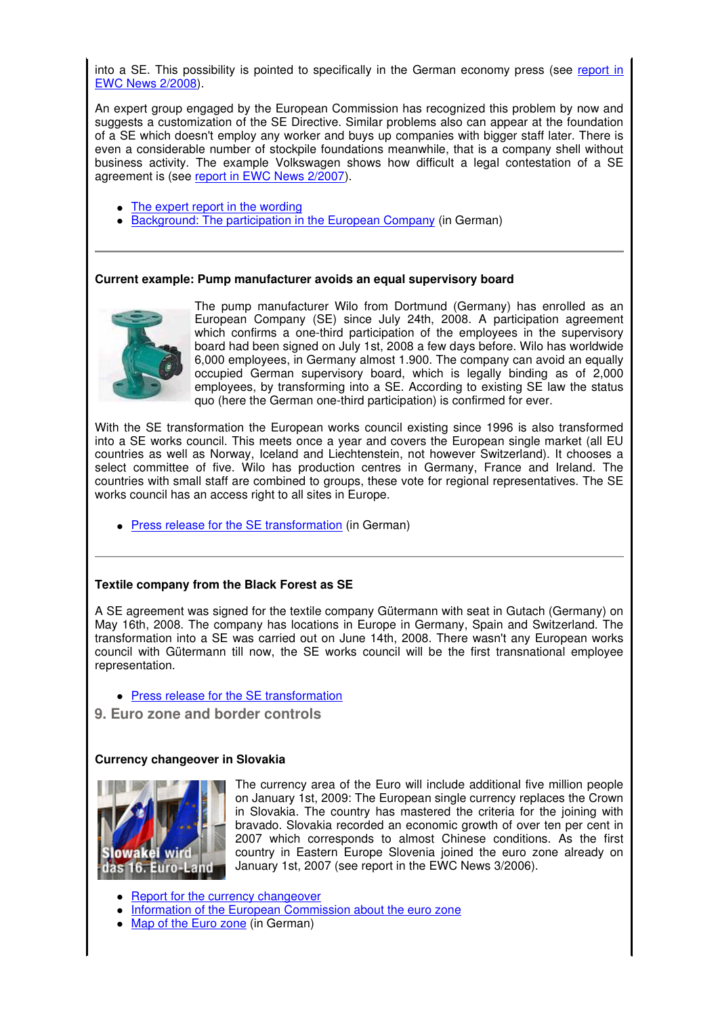into a SE. This possibility is pointed to specifically in the German economy press (see report in EWC News 2/2008).

An expert group engaged by the European Commission has recognized this problem by now and suggests a customization of the SE Directive. Similar problems also can appear at the foundation of a SE which doesn't employ any worker and buys up companies with bigger staff later. There is even a considerable number of stockpile foundations meanwhile, that is a company shell without business activity. The example Volkswagen shows how difficult a legal contestation of a SE agreement is (see report in EWC News 2/2007).

- The expert report in the wording
- Background: The participation in the European Company (in German)

### **Current example: Pump manufacturer avoids an equal supervisory board**



The pump manufacturer Wilo from Dortmund (Germany) has enrolled as an European Company (SE) since July 24th, 2008. A participation agreement which confirms a one-third participation of the employees in the supervisory board had been signed on July 1st, 2008 a few days before. Wilo has worldwide 6,000 employees, in Germany almost 1.900. The company can avoid an equally occupied German supervisory board, which is legally binding as of 2,000 employees, by transforming into a SE. According to existing SE law the status quo (here the German one-third participation) is confirmed for ever.

With the SE transformation the European works council existing since 1996 is also transformed into a SE works council. This meets once a year and covers the European single market (all EU countries as well as Norway, Iceland and Liechtenstein, not however Switzerland). It chooses a select committee of five. Wilo has production centres in Germany, France and Ireland. The countries with small staff are combined to groups, these vote for regional representatives. The SE works council has an access right to all sites in Europe.

• Press release for the SE transformation (in German)

### **Textile company from the Black Forest as SE**

A SE agreement was signed for the textile company Gütermann with seat in Gutach (Germany) on May 16th, 2008. The company has locations in Europe in Germany, Spain and Switzerland. The transformation into a SE was carried out on June 14th, 2008. There wasn't any European works council with Gütermann till now, the SE works council will be the first transnational employee representation.

- Press release for the SE transformation
- **9. Euro zone and border controls**

### **Currency changeover in Slovakia**



The currency area of the Euro will include additional five million people on January 1st, 2009: The European single currency replaces the Crown in Slovakia. The country has mastered the criteria for the joining with bravado. Slovakia recorded an economic growth of over ten per cent in 2007 which corresponds to almost Chinese conditions. As the first country in Eastern Europe Slovenia joined the euro zone already on January 1st, 2007 (see report in the EWC News 3/2006).

- Report for the currency changeover
- Information of the European Commission about the euro zone
- Map of the Euro zone (in German)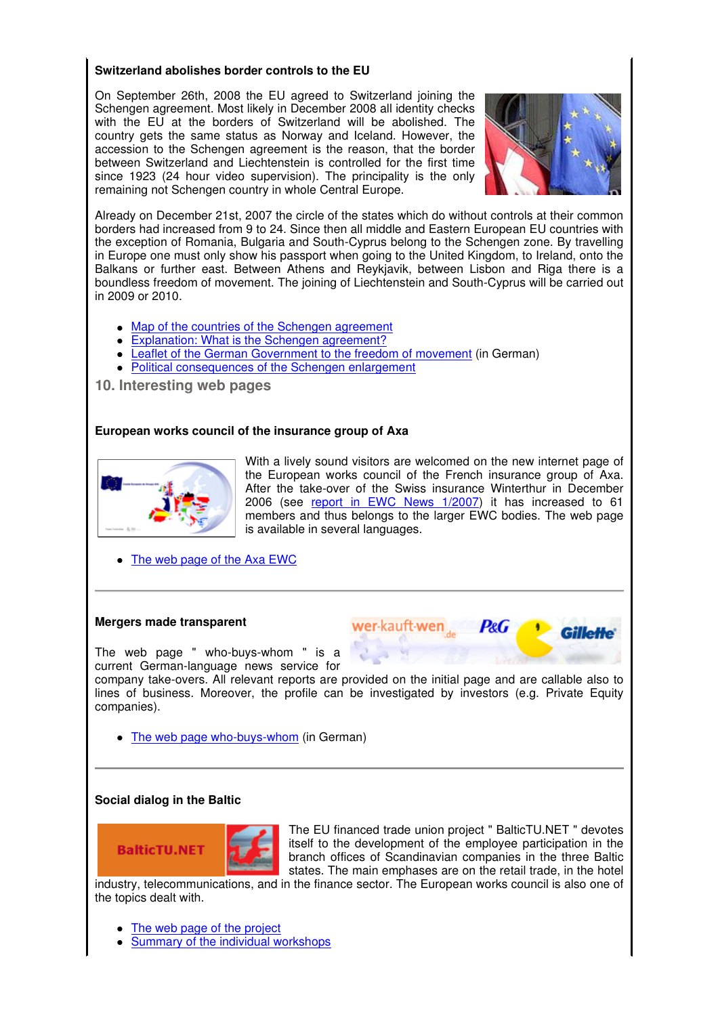# **Switzerland abolishes border controls to the EU**

On September 26th, 2008 the EU agreed to Switzerland joining the Schengen agreement. Most likely in December 2008 all identity checks with the EU at the borders of Switzerland will be abolished. The country gets the same status as Norway and Iceland. However, the accession to the Schengen agreement is the reason, that the border between Switzerland and Liechtenstein is controlled for the first time since 1923 (24 hour video supervision). The principality is the only remaining not Schengen country in whole Central Europe.



Already on December 21st, 2007 the circle of the states which do without controls at their common borders had increased from 9 to 24. Since then all middle and Eastern European EU countries with the exception of Romania, Bulgaria and South-Cyprus belong to the Schengen zone. By travelling in Europe one must only show his passport when going to the United Kingdom, to Ireland, onto the Balkans or further east. Between Athens and Reykjavik, between Lisbon and Riga there is a boundless freedom of movement. The joining of Liechtenstein and South-Cyprus will be carried out in 2009 or 2010.

- Map of the countries of the Schengen agreement
- Explanation: What is the Schengen agreement?
- Leaflet of the German Government to the freedom of movement (in German)
- Political consequences of the Schengen enlargement

**10. Interesting web pages**

### **European works council of the insurance group of Axa**



With a lively sound visitors are welcomed on the new internet page of the European works council of the French insurance group of Axa. After the take-over of the Swiss insurance Winterthur in December 2006 (see report in EWC News 1/2007) it has increased to 61 members and thus belongs to the larger EWC bodies. The web page is available in several languages.

kauft-wen

PeG

• The web page of the Axa EWC

### **Mergers made transparent**

The web page " who-buys-whom " is a current German-language news service for

company take-overs. All relevant reports are provided on the initial page and are callable also to lines of business. Moreover, the profile can be investigated by investors (e.g. Private Equity companies).

• The web page who-buys-whom (in German)

### **Social dialog in the Baltic**



The EU financed trade union project " BalticTU.NET " devotes itself to the development of the employee participation in the branch offices of Scandinavian companies in the three Baltic states. The main emphases are on the retail trade, in the hotel

industry, telecommunications, and in the finance sector. The European works council is also one of the topics dealt with.

- The web page of the project
- Summary of the individual workshops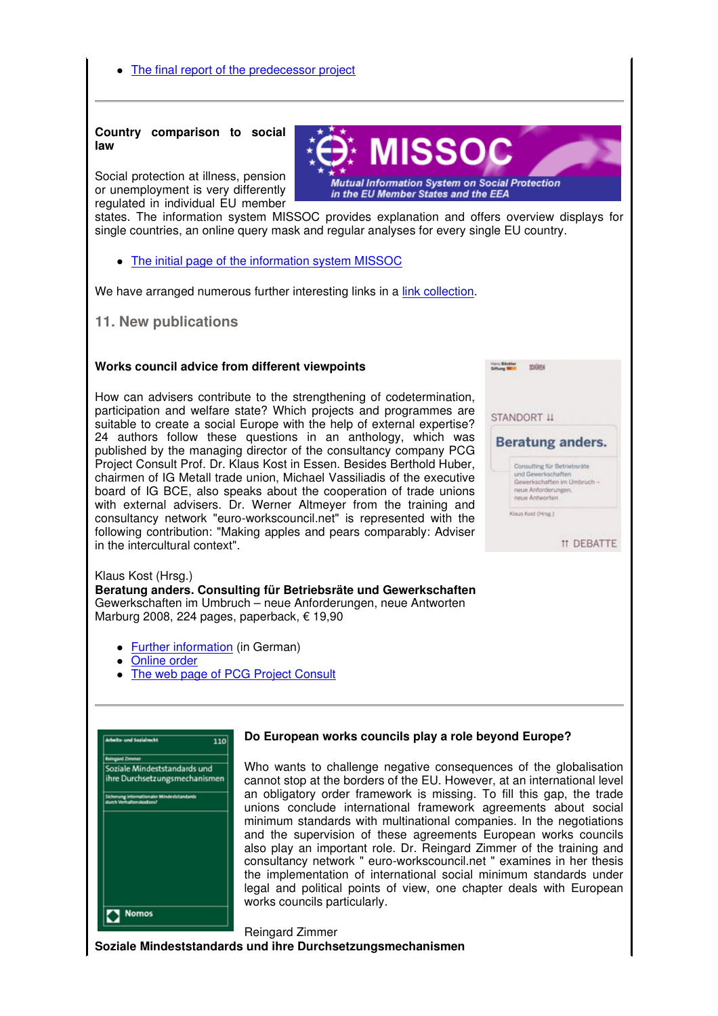• The final report of the predecessor project

#### **Country comparison to social law**

Social protection at illness, pension or unemployment is very differently regulated in individual EU member

states. The information system MISSOC provides explanation and offers overview displays for single countries, an online query mask and regular analyses for every single EU country.

MISSC

in the EU Member States and the EEA

Mutual Information System on Social Protection

The initial page of the information system MISSOC

We have arranged numerous further interesting links in a link collection.

**11. New publications**

## **Works council advice from different viewpoints**

How can advisers contribute to the strengthening of codetermination, participation and welfare state? Which projects and programmes are suitable to create a social Europe with the help of external expertise? 24 authors follow these questions in an anthology, which was published by the managing director of the consultancy company PCG Project Consult Prof. Dr. Klaus Kost in Essen. Besides Berthold Huber, chairmen of IG Metall trade union, Michael Vassiliadis of the executive board of IG BCE, also speaks about the cooperation of trade unions with external advisers. Dr. Werner Altmeyer from the training and consultancy network "euro-workscouncil.net" is represented with the following contribution: "Making apples and pears comparably: Adviser in the intercultural context".

STANDORT 11 Beratung anders. Consulting für Betriebsräte und Gewerkschaften<br>Gewerkschaften im Umbruch neue Anforderungen. neue Antworten Klaus Kost (Moor) **11 DEBATTE** 

Hans Bibokter - analizza

#### Klaus Kost (Hrsg.) **Beratung anders. Consulting für Betriebsräte und Gewerkschaften** Gewerkschaften im Umbruch – neue Anforderungen, neue Antworten

Marburg 2008, 224 pages, paperback, € 19,90

- **Further information** (in German)
- Online order
- The web page of PCG Project Consult



### **Do European works councils play a role beyond Europe?**

Who wants to challenge negative consequences of the globalisation cannot stop at the borders of the EU. However, at an international level an obligatory order framework is missing. To fill this gap, the trade unions conclude international framework agreements about social minimum standards with multinational companies. In the negotiations and the supervision of these agreements European works councils also play an important role. Dr. Reingard Zimmer of the training and consultancy network " euro-workscouncil.net " examines in her thesis the implementation of international social minimum standards under legal and political points of view, one chapter deals with European works councils particularly.

Reingard Zimmer

**Soziale Mindeststandards und ihre Durchsetzungsmechanismen**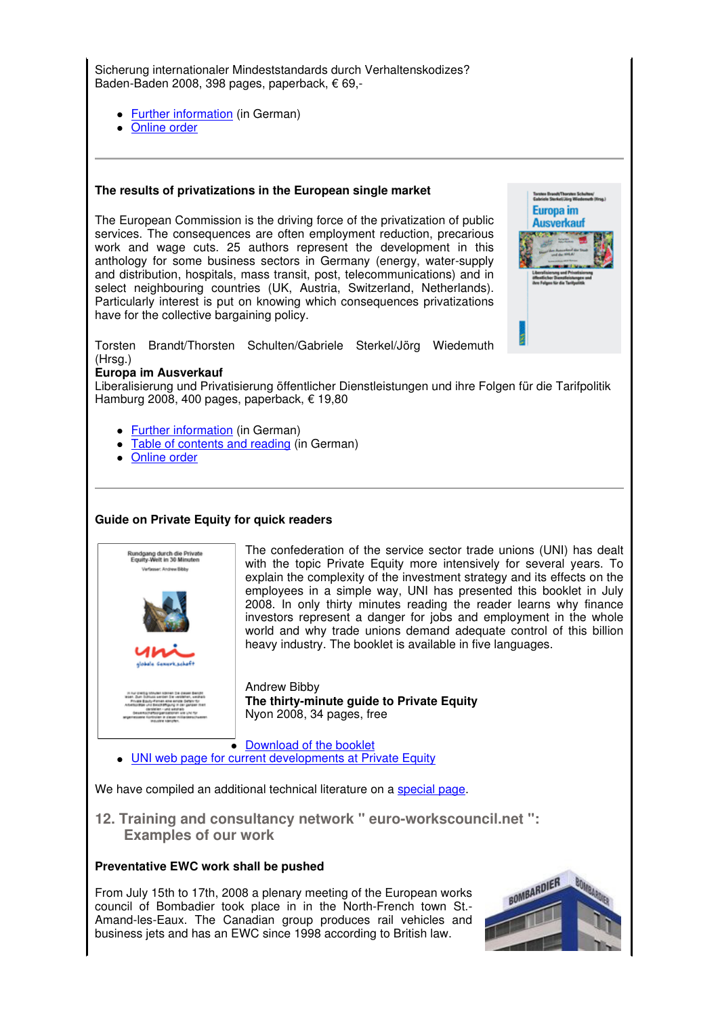Sicherung internationaler Mindeststandards durch Verhaltenskodizes? Baden-Baden 2008, 398 pages, paperback, € 69,-

- Further information (in German)
- Online order

## **The results of privatizations in the European single market**

The European Commission is the driving force of the privatization of public services. The consequences are often employment reduction, precarious work and wage cuts. 25 authors represent the development in this anthology for some business sectors in Germany (energy, water-supply and distribution, hospitals, mass transit, post, telecommunications) and in select neighbouring countries (UK, Austria, Switzerland, Netherlands). Particularly interest is put on knowing which consequences privatizations have for the collective bargaining policy.



Torsten Brandt/Thorsten Schulten/Gabriele Sterkel/Jörg Wiedemuth (Hrsg.)

### **Europa im Ausverkauf**

Liberalisierung und Privatisierung öffentlicher Dienstleistungen und ihre Folgen für die Tarifpolitik Hamburg 2008, 400 pages, paperback, € 19,80

- Further information (in German)
- Table of contents and reading (in German)
- Online order

# **Guide on Private Equity for quick readers**



The confederation of the service sector trade unions (UNI) has dealt with the topic Private Equity more intensively for several years. To explain the complexity of the investment strategy and its effects on the employees in a simple way, UNI has presented this booklet in July 2008. In only thirty minutes reading the reader learns why finance investors represent a danger for jobs and employment in the whole world and why trade unions demand adequate control of this billion heavy industry. The booklet is available in five languages.

Andrew Bibby **The thirty-minute guide to Private Equity** Nyon 2008, 34 pages, free

• Download of the booklet UNI web page for current developments at Private Equity

We have compiled an additional technical literature on a special page.

 **12. Training and consultancy network " euro-workscouncil.net ": Examples of our work**

# **Preventative EWC work shall be pushed**

From July 15th to 17th, 2008 a plenary meeting of the European works council of Bombadier took place in in the North-French town St.- Amand-les-Eaux. The Canadian group produces rail vehicles and business jets and has an EWC since 1998 according to British law.

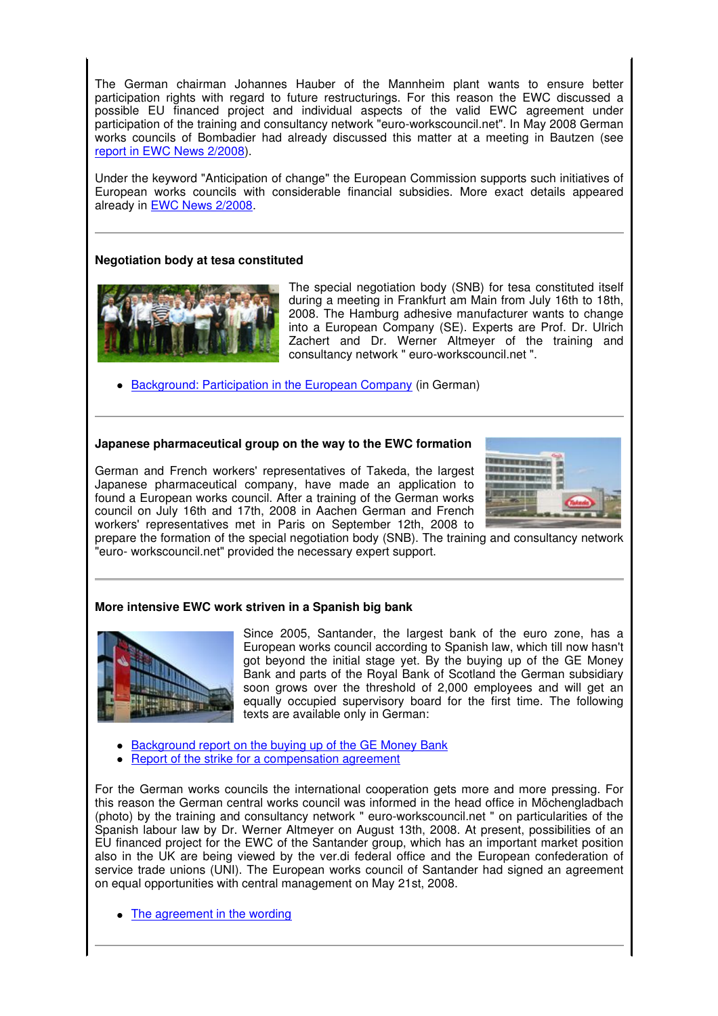The German chairman Johannes Hauber of the Mannheim plant wants to ensure better participation rights with regard to future restructurings. For this reason the EWC discussed a possible EU financed project and individual aspects of the valid EWC agreement under participation of the training and consultancy network "euro-workscouncil.net". In May 2008 German works councils of Bombadier had already discussed this matter at a meeting in Bautzen (see report in EWC News 2/2008).

Under the keyword "Anticipation of change" the European Commission supports such initiatives of European works councils with considerable financial subsidies. More exact details appeared already in EWC News 2/2008.

# **Negotiation body at tesa constituted**



The special negotiation body (SNB) for tesa constituted itself during a meeting in Frankfurt am Main from July 16th to 18th, 2008. The Hamburg adhesive manufacturer wants to change into a European Company (SE). Experts are Prof. Dr. Ulrich Zachert and Dr. Werner Altmeyer of the training and consultancy network " euro-workscouncil.net ".

Background: Participation in the European Company (in German)

### **Japanese pharmaceutical group on the way to the EWC formation**

German and French workers' representatives of Takeda, the largest Japanese pharmaceutical company, have made an application to found a European works council. After a training of the German works council on July 16th and 17th, 2008 in Aachen German and French workers' representatives met in Paris on September 12th, 2008 to



prepare the formation of the special negotiation body (SNB). The training and consultancy network "euro- workscouncil.net" provided the necessary expert support.

# **More intensive EWC work striven in a Spanish big bank**



Since 2005, Santander, the largest bank of the euro zone, has a European works council according to Spanish law, which till now hasn't got beyond the initial stage yet. By the buying up of the GE Money Bank and parts of the Royal Bank of Scotland the German subsidiary soon grows over the threshold of 2,000 employees and will get an equally occupied supervisory board for the first time. The following texts are available only in German:

- Background report on the buying up of the GE Money Bank
- Report of the strike for a compensation agreement

For the German works councils the international cooperation gets more and more pressing. For this reason the German central works council was informed in the head office in Möchengladbach (photo) by the training and consultancy network " euro-workscouncil.net " on particularities of the Spanish labour law by Dr. Werner Altmeyer on August 13th, 2008. At present, possibilities of an EU financed project for the EWC of the Santander group, which has an important market position also in the UK are being viewed by the ver.di federal office and the European confederation of service trade unions (UNI). The European works council of Santander had signed an agreement on equal opportunities with central management on May 21st, 2008.

• The agreement in the wording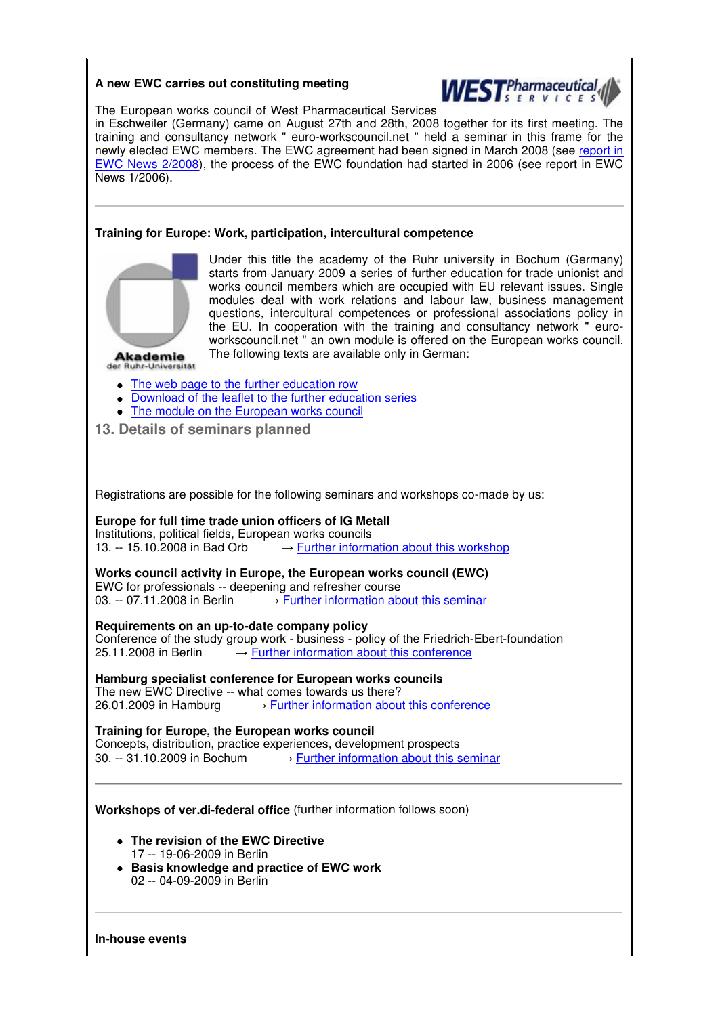# **A new EWC carries out constituting meeting**



The European works council of West Pharmaceutical Services

in Eschweiler (Germany) came on August 27th and 28th, 2008 together for its first meeting. The training and consultancy network " euro-workscouncil.net " held a seminar in this frame for the newly elected EWC members. The EWC agreement had been signed in March 2008 (see report in EWC News 2/2008), the process of the EWC foundation had started in 2006 (see report in EWC News 1/2006).

### **Training for Europe: Work, participation, intercultural competence**



Under this title the academy of the Ruhr university in Bochum (Germany) starts from January 2009 a series of further education for trade unionist and works council members which are occupied with EU relevant issues. Single modules deal with work relations and labour law, business management questions, intercultural competences or professional associations policy in the EU. In cooperation with the training and consultancy network " euroworkscouncil.net " an own module is offered on the European works council. The following texts are available only in German:

- The web page to the further education row
- Download of the leaflet to the further education series
- The module on the European works council

 **13. Details of seminars planned**

Registrations are possible for the following seminars and workshops co-made by us:

**Europe for full time trade union officers of IG Metall**

Institutions, political fields, European works councils 13. -- 15.10.2008 in Bad Orb  $\rightarrow$  Further information about this workshop

**Works council activity in Europe, the European works council (EWC)** EWC for professionals -- deepening and refresher course 03. -- 07.11.2008 in Berlin  $\rightarrow$  Further information about this seminar

**Requirements on an up-to-date company policy**

Conference of the study group work - business - policy of the Friedrich-Ebert-foundation 25.11.2008 in Berlin  $\rightarrow$  Further information about this conference

**Hamburg specialist conference for European works councils** The new EWC Directive -- what comes towards us there? 26.01.2009 in Hamburg  $\rightarrow$  Further information about this conference

**Training for Europe, the European works council** Concepts, distribution, practice experiences, development prospects 30. -- 31.10.2009 in Bochum  $\rightarrow$  Further information about this s  $\rightarrow$  Further information about this seminar

**Workshops of ver.di-federal office** (further information follows soon)

- **The revision of the EWC Directive** 17 -- 19-06-2009 in Berlin
- **Basis knowledge and practice of EWC work** 02 -- 04-09-2009 in Berlin

**In-house events**